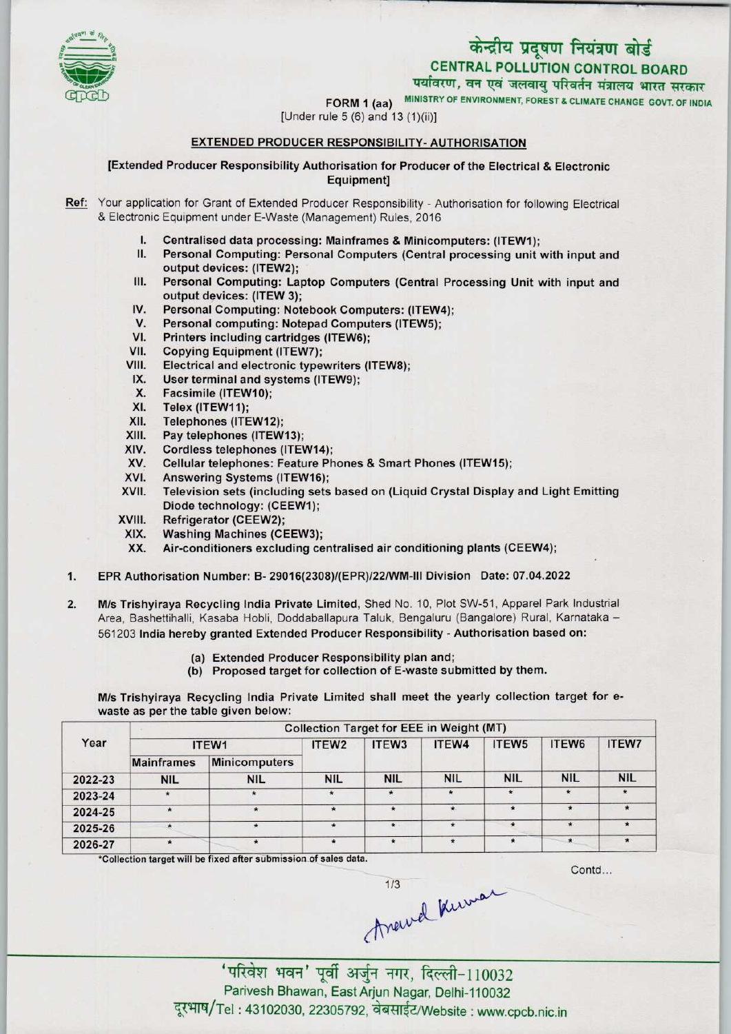# केन्द्रीय प्रदूषण नियंत्रण बोर्ड CENTRAL POLLUTION CONTROL BOARD



पर्यावरण, वन एवं जलवायु परिवर्तन मंत्रालय भारत सरकार

FORM 1 (aa) MINISTRY OF ENVIRONMENT, FOREST & CLIMATE CHANGE GOVT. OF INDIA

[Under rule  $5(6)$  and  $13(1)(ii)$ ]

## EXTENDED PRODUCER RESPONSIBILITY- AUTHORISATION

[Extended ProducerResponsibility Authorisation for Producer of the Electrical & Electronic Equipment]

Ref: Your application for Grant of Extended Producer Responsibility - Authorisation for following Electrical & Electronic Equipment under E-Waste (Management) Rules, 2016

- I. Centralised data processing: Mainframes & Minicomputers: (ITEW1);
- Personal Computing: Personal Computers (Central processing unit with input and output devices: (ITEW2);
- III. Personal Computing: Laptop Computers (Central Processing Unit with input and output devices: (ITEW 3); III. Personal Computing: Laptop Computers (Central Pictual Protections);<br>IV. Personal Computing: Notebook Computers: (ITEW4);<br>V. Personal computing: Notebook Computers (ITEW5);
- output devices: (ITEW 3);<br>V. Personal Computing: Notebook Computers: (ITEW<br>V. Personal computing: Notepad Computers (ITEW5);<br>// Printers including cartridges (ITEW6);
- V. Personal Computing: Notebook Computers: (ITEW4<br>V. Personal computing: Notepad Computers (ITEW5);<br>VI. Printers including cartridges (ITEW6);<br>VII. Copying Equipment (ITEW7);
- VI. Printers including cartridges (ITEW6);<br>VII. Copying Equipment (ITEW7);<br>VIII. Electrical and electronic typewriters (I
- 
- VIM. Electrical and electronic typewriters (ITEW8);
- IX. User terminal and systems (ITEW9);<br>X. Facsimile (ITEW10);
- X. Facsimile (ITEW10);<br>XI. Telex (ITEW11);
- XI. Telex (ITEW11);<br>XII. Telephones (ITE
- XII. Telephones (ITEW12);<br>XIII. Pay telephones (ITEW
- XIII. Pay telephones (ITEW13);<br>XIV. Cordless telephones (ITE)
- XIV. Cordless telephones (ITEW14);<br>XV. Cellular telephones: Feature Ph
- XIII. Pay telephones (ITEWT3);<br>KIV. Cordiess telephones (ITEW14);<br>XV. Cellular telephones: Feature Phones & Smart Phones (ITEW15);
- XIV. Cordiess telephones (ITEW14)<br>XV. Cellular telephones: Feature P<br>XVI. Answering Systems (ITEW16);<br>XVII. Television sets (including sets
- XVI. Answering Systems (ITEW16);<br>XVII. Television sets (including sets based on (Liquid Crystal Display and Light Emitting Diode technology: (CEEW1);
- XVIII. Refrigerator (CEEW2);<br>XIX. Washing Machines (CI
- XIX. Washing Machines (CEEW3);<br>XX. Air-conditioners excluding ce
- Air-conditioners excluding centralised air conditioning plants (CEEW4);
- 1.EPR Authorisation Number: B- 29016(2308)/(EPR)/22/WM-MI Division Date: 07.04.2022
- 2. M/s Trishyiraya Recycling India Private Limited, Shed No. 10, Plot SW-51, Apparel Park Industrial Area, Bashettihalli, Kasaba Hobli, Doddabailapura Taluk, Bengaluru (Bangalore) Rural, Kamataka - 561203 India hereby granted Extended Producer Responsibility - Authorisation based on:
	- (a) Extended Producer Responsibility plan and;
	- (b) Proposed target for collection of E-waste submitted by them.

M/s Trishyiraya Recycling India Private Limited shall meet the yearly collection target for ewaste as per the table given below:

|         |                   |                      |                   | <b>Collection Target for EEE in Weight (MT)</b> |            |                   |            |            |
|---------|-------------------|----------------------|-------------------|-------------------------------------------------|------------|-------------------|------------|------------|
| Year    | ITEW1             |                      | ITEW <sub>2</sub> | ITEW <sub>3</sub>                               | ITEW4      | ITEW <sub>5</sub> | ITEW6      | ITEW7      |
|         | <b>Mainframes</b> | <b>Minicomputers</b> |                   |                                                 |            |                   |            |            |
| 2022-23 | <b>NIL</b>        | <b>NIL</b>           | <b>NIL</b>        | <b>NIL</b>                                      | <b>NIL</b> | <b>NIL</b>        | <b>NIL</b> | <b>NIL</b> |
| 2023-24 |                   |                      | $\star$           | $\star$                                         | $\star$    | $\star$           |            |            |
| 2024-25 | $\star$           | $\star$              | $\star$           | $\star$                                         | $\star$    | $\star$           | $\star$    |            |
| 2025-26 |                   |                      | $\star$           | $\star$                                         |            |                   | $\star$    |            |
| 2026-27 | $\star$           |                      | $\star$           | $\star$                                         | $\star$    | $\star$           | $\star$    |            |

\*Collection target will be fixed after submission of sales data.

Contd...

trewel knewar

'परिवेश भवन' पूर्वी अर्जुन नगर, दिल्ली-110032 Parivesh Bhawan, East Arjun Nagar, Delhi-110032 दूरभाष/Tel: 43102030, 22305792, वेबसाईट/Website : www.cpcb.nic.in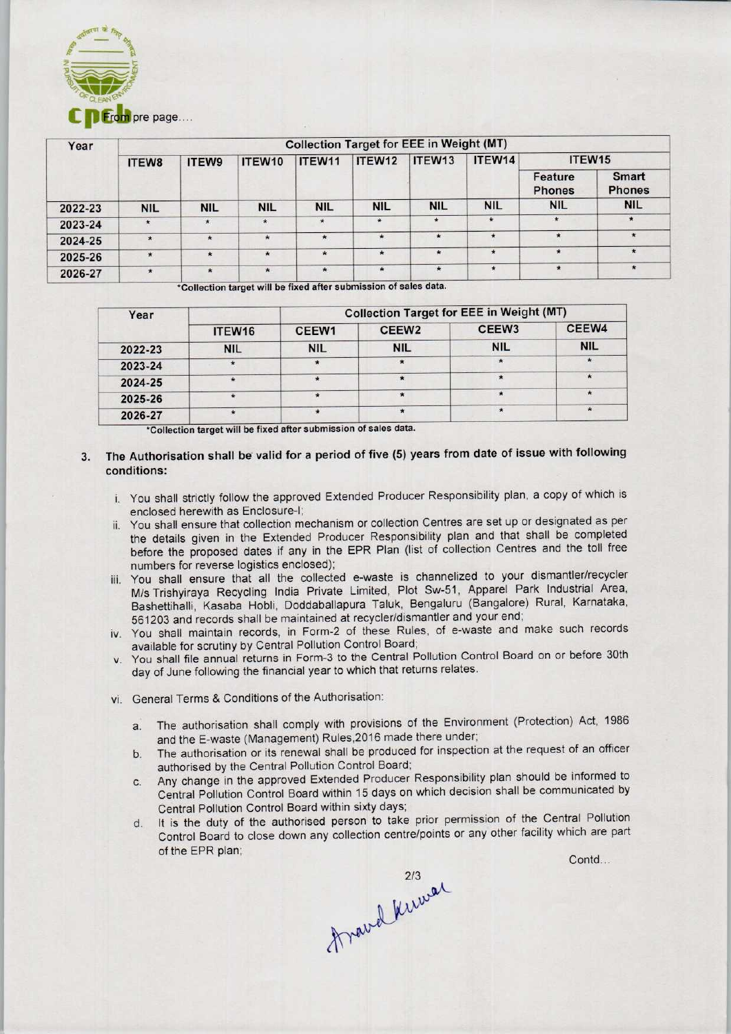

| Year    | <b>Collection Target for EEE in Weight (MT)</b> |            |            |            |            |                    |            |                          |                               |  |
|---------|-------------------------------------------------|------------|------------|------------|------------|--------------------|------------|--------------------------|-------------------------------|--|
|         | ITEW8                                           | ITEW9      | ITEW10     | ITEW11     | ITEW12     | ITEW <sub>13</sub> | ITEW14     | ITEW15                   |                               |  |
|         |                                                 |            |            |            |            |                    |            | Feature<br><b>Phones</b> | <b>Smart</b><br><b>Phones</b> |  |
| 2022-23 | <b>NIL</b>                                      | <b>NIL</b> | <b>NIL</b> | <b>NIL</b> | <b>NIL</b> | <b>NIL</b>         | <b>NIL</b> | <b>NIL</b>               | <b>NIL</b>                    |  |
| 2023-24 | $\star$                                         | $\star$    | $\star$    | $\bullet$  | $\star$    | $\star$            | $\star$    | $\star$                  | $\star$                       |  |
| 2024-25 | $\star$                                         | $\star$    | $\star$    | $\star$    | $\star$    | $\star$            | $\star$    | *                        | $\star$                       |  |
| 2025-26 | $\star$                                         |            | $\star$    | $\star$    | $\star$    | $\star$            | $\star$    | $\star$                  | $\star$                       |  |
| 2026-27 | $\star$                                         | $\star$    | $\star$    | $\star$    | $\star$    | $\star$            | $\star$    | $\star$                  | $\star$                       |  |

\*Collection target will be fixed after submission of sales data.

| Year    |                    | <b>Collection Target for EEE in Weight (MT)</b> |                   |                   |            |  |  |
|---------|--------------------|-------------------------------------------------|-------------------|-------------------|------------|--|--|
|         | ITEW <sub>16</sub> | CEEW <sub>1</sub>                               | CEEW <sub>2</sub> | CEEW <sub>3</sub> | CEEW4      |  |  |
| 2022-23 | <b>NIL</b>         | <b>NIL</b>                                      | <b>NIL</b>        | <b>NIL</b>        | <b>NIL</b> |  |  |
| 2023-24 |                    |                                                 |                   |                   |            |  |  |
| 2024-25 |                    |                                                 |                   |                   |            |  |  |
| 2025-26 |                    |                                                 | $\star$           |                   | 木          |  |  |
| 2026-27 |                    |                                                 |                   |                   | ÷          |  |  |

•Collection target will be fixed after submission of sales data.

- The Authorisation shall be valid for a period of five (5) years from date of issue with following  $\mathbf{3}$ conditions:
	- i. You shall strictly follow the approved Extended Producer Responsibility plan, a copy of which is enclosed herewith as Enclosure-I;
- ii. You shall ensure that collection mechanism or collection Centres are set up or designated as per the details given in the Extended Producer Responsibility plan and that shall be completed before the proposed dates if any in the EPR Plan (list of collection Centres and the toll free numbers for reverse logistics enclosed); Translation shall be via the state of the School Control Control Control Control Control Control Control Control Control Control Control Control Control Control Control Control Control Control Control Control Control Contr
	- iii. You shall ensure that all the collected e-waste is channelized to your dismantler/recycler M/s Trishyiraya Recycling India Private Limited, Plot Sw-51, Apparel Park Industrial Area, Bashettihalli, Kasaba Hobli, Doddaballapura Taluk, Bengaluru (Bangalore) Rural, Karnataka, 561203 and records shall be maintained at recycler/dismantler and your end;
	- iv. You shall maintain records, in Form-2 of these Rules, of e-waste and make such records available for scrutiny by Central Pollution Control Board;
	- v. You shall file annual returns in Form-3 to the Central Pollution Control Board on or before 30th day of June following the financial year to which that returns relates.
	- vi. General Terms & Conditions of the Authorisation:
		- a.The authorisation shall comply with provisions of the Environment (Protection) Act, <sup>1986</sup> and the E-waste (Management) Ruies,2016 made there under;
		- b.The authorisation or its renewal shall be produced for inspection at the request of an officer authorised by the Central Pollution Control Board;
- c.Any change in the approved Extended Producer Responsibility plan should be informed to Central Pollution Control Board within 15 days on which decision shall be communicated by Central Pollution Control Board within sixty days; of the Environment (Protection) Act, 1<br>le there under;<br>ed for inspection at the request of an of<br>d;<br>r Responsibility plan should be informe<br>in which decision shall be communicate<br>i,<br>re/points or any other facility which ar
	- d. It is the duty of the authorised person to take prior permission of the Central Pollution Control Board to dose down any collection centre/points or any other facility which are part

Arawal Kirwar